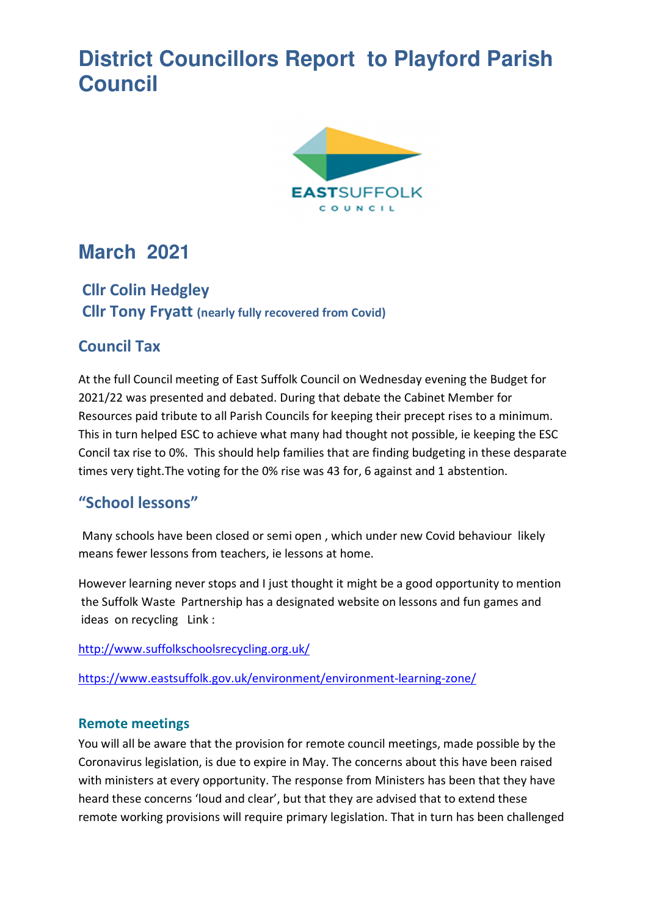# **District Councillors Report to Playford Parish Council**



# **March 2021**

# **Cllr Colin Hedgley Cllr Tony Fryatt (nearly fully recovered from Covid)**

# **Council Tax**

At the full Council meeting of East Suffolk Council on Wednesday evening the Budget for 2021/22 was presented and debated. During that debate the Cabinet Member for Resources paid tribute to all Parish Councils for keeping their precept rises to a minimum. This in turn helped ESC to achieve what many had thought not possible, ie keeping the ESC Concil tax rise to 0%. This should help families that are finding budgeting in these desparate times very tight.The voting for the 0% rise was 43 for, 6 against and 1 abstention.

# **"School lessons"**

Many schools have been closed or semi open , which under new Covid behaviour likely means fewer lessons from teachers, ie lessons at home.

However learning never stops and I just thought it might be a good opportunity to mention the Suffolk Waste Partnership has a designated website on lessons and fun games and ideas on recycling Link :

http://www.suffolkschoolsrecycling.org.uk/

https://www.eastsuffolk.gov.uk/environment/environment-learning-zone/

## **Remote meetings**

You will all be aware that the provision for remote council meetings, made possible by the Coronavirus legislation, is due to expire in May. The concerns about this have been raised with ministers at every opportunity. The response from Ministers has been that they have heard these concerns 'loud and clear', but that they are advised that to extend these remote working provisions will require primary legislation. That in turn has been challenged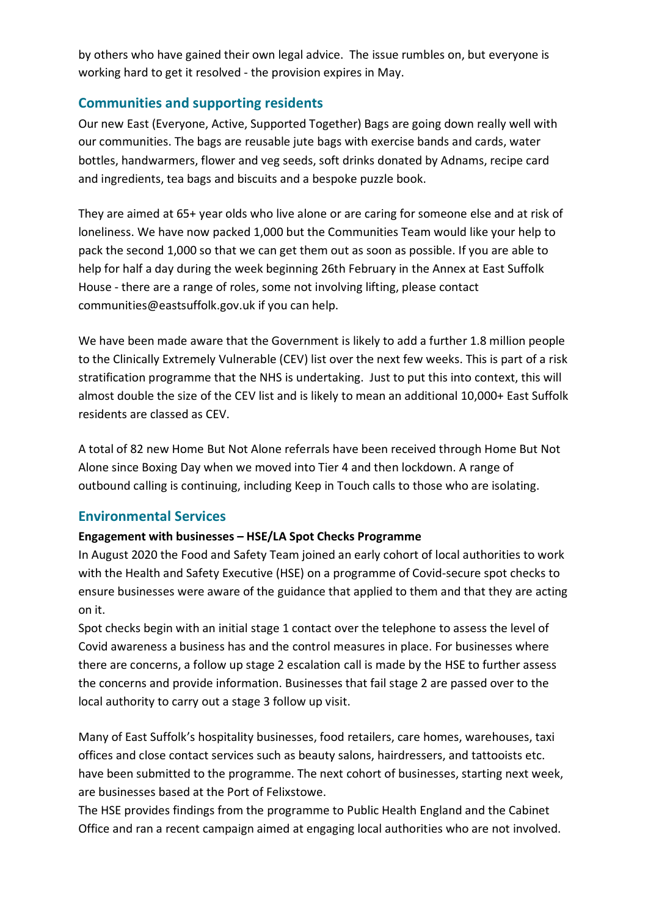by others who have gained their own legal advice. The issue rumbles on, but everyone is working hard to get it resolved - the provision expires in May.

## **Communities and supporting residents**

Our new East (Everyone, Active, Supported Together) Bags are going down really well with our communities. The bags are reusable jute bags with exercise bands and cards, water bottles, handwarmers, flower and veg seeds, soft drinks donated by Adnams, recipe card and ingredients, tea bags and biscuits and a bespoke puzzle book.

They are aimed at 65+ year olds who live alone or are caring for someone else and at risk of loneliness. We have now packed 1,000 but the Communities Team would like your help to pack the second 1,000 so that we can get them out as soon as possible. If you are able to help for half a day during the week beginning 26th February in the Annex at East Suffolk House - there are a range of roles, some not involving lifting, please contact communities@eastsuffolk.gov.uk if you can help.

We have been made aware that the Government is likely to add a further 1.8 million people to the Clinically Extremely Vulnerable (CEV) list over the next few weeks. This is part of a risk stratification programme that the NHS is undertaking. Just to put this into context, this will almost double the size of the CEV list and is likely to mean an additional 10,000+ East Suffolk residents are classed as CEV.

A total of 82 new Home But Not Alone referrals have been received through Home But Not Alone since Boxing Day when we moved into Tier 4 and then lockdown. A range of outbound calling is continuing, including Keep in Touch calls to those who are isolating.

## **Environmental Services**

#### **Engagement with businesses – HSE/LA Spot Checks Programme**

In August 2020 the Food and Safety Team joined an early cohort of local authorities to work with the Health and Safety Executive (HSE) on a programme of Covid-secure spot checks to ensure businesses were aware of the guidance that applied to them and that they are acting on it.

Spot checks begin with an initial stage 1 contact over the telephone to assess the level of Covid awareness a business has and the control measures in place. For businesses where there are concerns, a follow up stage 2 escalation call is made by the HSE to further assess the concerns and provide information. Businesses that fail stage 2 are passed over to the local authority to carry out a stage 3 follow up visit.

Many of East Suffolk's hospitality businesses, food retailers, care homes, warehouses, taxi offices and close contact services such as beauty salons, hairdressers, and tattooists etc. have been submitted to the programme. The next cohort of businesses, starting next week, are businesses based at the Port of Felixstowe.

The HSE provides findings from the programme to Public Health England and the Cabinet Office and ran a recent campaign aimed at engaging local authorities who are not involved.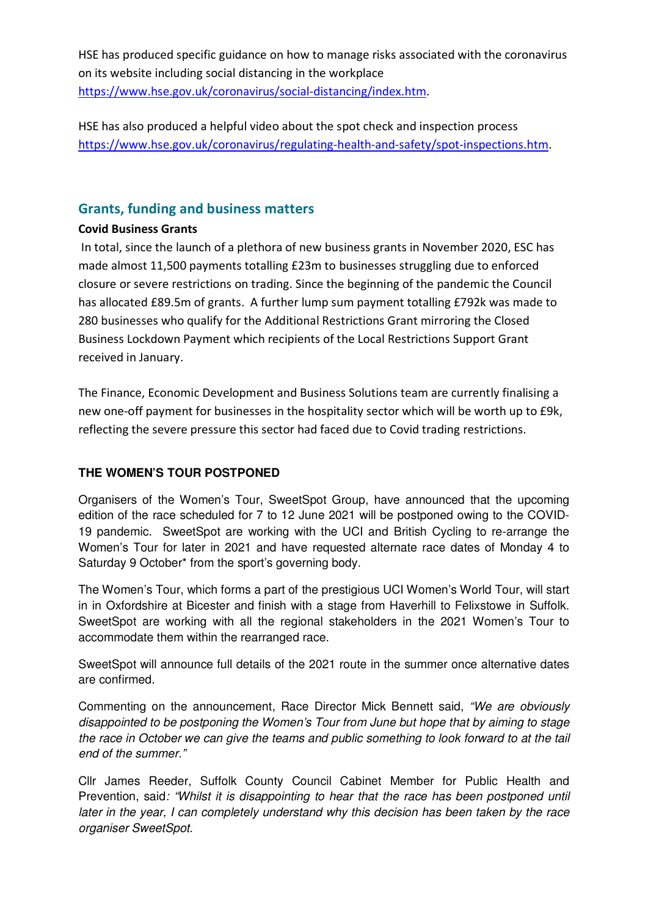HSE has produced specific guidance on how to manage risks associated with the coronavirus on its website including social distancing in the workplace https://www.hse.gov.uk/coronavirus/social-distancing/index.htm.

HSE has also produced a helpful video about the spot check and inspection process https://www.hse.gov.uk/coronavirus/regulating-health-and-safety/spot-inspections.htm.

## **Grants, funding and business matters**

#### **Covid Business Grants**

 In total, since the launch of a plethora of new business grants in November 2020, ESC has made almost 11,500 payments totalling £23m to businesses struggling due to enforced closure or severe restrictions on trading. Since the beginning of the pandemic the Council has allocated £89.5m of grants. A further lump sum payment totalling £792k was made to 280 businesses who qualify for the Additional Restrictions Grant mirroring the Closed Business Lockdown Payment which recipients of the Local Restrictions Support Grant received in January.

The Finance, Economic Development and Business Solutions team are currently finalising a new one-off payment for businesses in the hospitality sector which will be worth up to £9k, reflecting the severe pressure this sector had faced due to Covid trading restrictions.

## **THE WOMEN'S TOUR POSTPONED**

Organisers of the Women's Tour, SweetSpot Group, have announced that the upcoming edition of the race scheduled for 7 to 12 June 2021 will be postponed owing to the COVID-19 pandemic. SweetSpot are working with the UCI and British Cycling to re-arrange the Women's Tour for later in 2021 and have requested alternate race dates of Monday 4 to Saturday 9 October\* from the sport's governing body.

The Women's Tour, which forms a part of the prestigious UCI Women's World Tour, will start in in Oxfordshire at Bicester and finish with a stage from Haverhill to Felixstowe in Suffolk. SweetSpot are working with all the regional stakeholders in the 2021 Women's Tour to accommodate them within the rearranged race.

SweetSpot will announce full details of the 2021 route in the summer once alternative dates are confirmed.

Commenting on the announcement, Race Director Mick Bennett said, *"We are obviously disappointed to be postponing the Women's Tour from June but hope that by aiming to stage the race in October we can give the teams and public something to look forward to at the tail end of the summer."*

Cllr James Reeder, Suffolk County Council Cabinet Member for Public Health and Prevention, said*: "Whilst it is disappointing to hear that the race has been postponed until later in the year, I can completely understand why this decision has been taken by the race organiser SweetSpot.*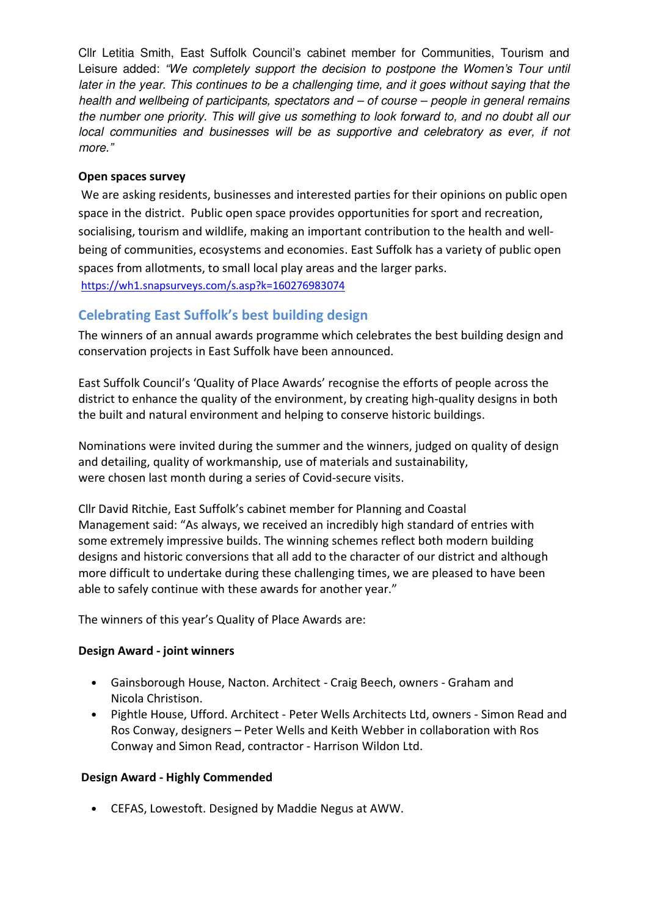Cllr Letitia Smith, East Suffolk Council's cabinet member for Communities, Tourism and Leisure added: *"We completely support the decision to postpone the Women's Tour until later in the year. This continues to be a challenging time, and it goes without saying that the health and wellbeing of participants, spectators and – of course – people in general remains the number one priority. This will give us something to look forward to, and no doubt all our local communities and businesses will be as supportive and celebratory as ever, if not more."*

#### **Open spaces survey**

We are asking residents, businesses and interested parties for their opinions on public open space in the district. Public open space provides opportunities for sport and recreation, socialising, tourism and wildlife, making an important contribution to the health and wellbeing of communities, ecosystems and economies. East Suffolk has a variety of public open spaces from allotments, to small local play areas and the larger parks. https://wh1.snapsurveys.com/s.asp?k=160276983074

## **Celebrating East Suffolk's best building design**

The winners of an annual awards programme which celebrates the best building design and conservation projects in East Suffolk have been announced.

East Suffolk Council's 'Quality of Place Awards' recognise the efforts of people across the district to enhance the quality of the environment, by creating high-quality designs in both the built and natural environment and helping to conserve historic buildings.

Nominations were invited during the summer and the winners, judged on quality of design and detailing, quality of workmanship, use of materials and sustainability, were chosen last month during a series of Covid-secure visits.

Cllr David Ritchie, East Suffolk's cabinet member for Planning and Coastal Management said: "As always, we received an incredibly high standard of entries with some extremely impressive builds. The winning schemes reflect both modern building designs and historic conversions that all add to the character of our district and although more difficult to undertake during these challenging times, we are pleased to have been able to safely continue with these awards for another year."

The winners of this year's Quality of Place Awards are:

#### **Design Award - joint winners**

- Gainsborough House, Nacton. Architect Craig Beech, owners Graham and Nicola Christison.
- Pightle House, Ufford. Architect Peter Wells Architects Ltd, owners Simon Read and Ros Conway, designers – Peter Wells and Keith Webber in collaboration with Ros Conway and Simon Read, contractor - Harrison Wildon Ltd.

#### **Design Award - Highly Commended**

• CEFAS, Lowestoft. Designed by Maddie Negus at AWW.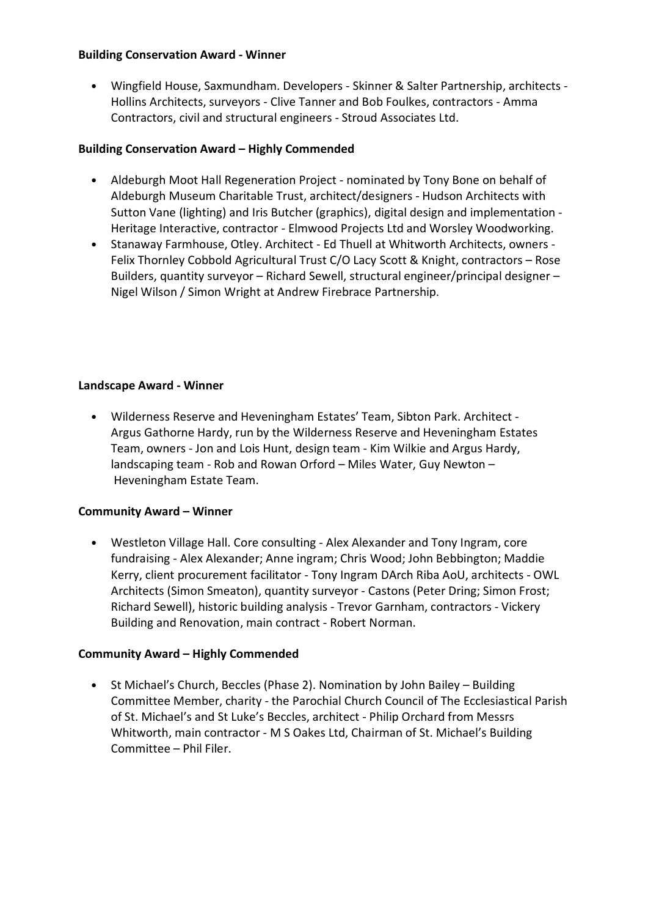#### **Building Conservation Award - Winner**

• Wingfield House, Saxmundham. Developers - Skinner & Salter Partnership, architects - Hollins Architects, surveyors - Clive Tanner and Bob Foulkes, contractors - Amma Contractors, civil and structural engineers - Stroud Associates Ltd.

#### **Building Conservation Award – Highly Commended**

- Aldeburgh Moot Hall Regeneration Project nominated by Tony Bone on behalf of Aldeburgh Museum Charitable Trust, architect/designers - Hudson Architects with Sutton Vane (lighting) and Iris Butcher (graphics), digital design and implementation - Heritage Interactive, contractor - Elmwood Projects Ltd and Worsley Woodworking.
- Stanaway Farmhouse, Otley. Architect Ed Thuell at Whitworth Architects, owners Felix Thornley Cobbold Agricultural Trust C/O Lacy Scott & Knight, contractors – Rose Builders, quantity surveyor – Richard Sewell, structural engineer/principal designer – Nigel Wilson / Simon Wright at Andrew Firebrace Partnership.

#### **Landscape Award - Winner**

• Wilderness Reserve and Heveningham Estates' Team, Sibton Park. Architect - Argus Gathorne Hardy, run by the Wilderness Reserve and Heveningham Estates Team, owners - Jon and Lois Hunt, design team - Kim Wilkie and Argus Hardy, landscaping team - Rob and Rowan Orford – Miles Water, Guy Newton – Heveningham Estate Team.

#### **Community Award – Winner**

• Westleton Village Hall. Core consulting - Alex Alexander and Tony Ingram, core fundraising - Alex Alexander; Anne ingram; Chris Wood; John Bebbington; Maddie Kerry, client procurement facilitator - Tony Ingram DArch Riba AoU, architects - OWL Architects (Simon Smeaton), quantity surveyor - Castons (Peter Dring; Simon Frost; Richard Sewell), historic building analysis - Trevor Garnham, contractors - Vickery Building and Renovation, main contract - Robert Norman.

#### **Community Award – Highly Commended**

• St Michael's Church, Beccles (Phase 2). Nomination by John Bailey – Building Committee Member, charity - the Parochial Church Council of The Ecclesiastical Parish of St. Michael's and St Luke's Beccles, architect - Philip Orchard from Messrs Whitworth, main contractor - M S Oakes Ltd, Chairman of St. Michael's Building Committee – Phil Filer.